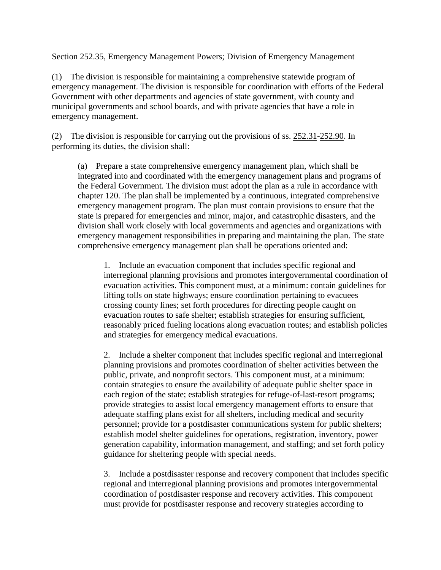Section 252.35, Emergency Management Powers; Division of Emergency Management

(1) The division is responsible for maintaining a comprehensive statewide program of emergency management. The division is responsible for coordination with efforts of the Federal Government with other departments and agencies of state government, with county and municipal governments and school boards, and with private agencies that have a role in emergency management.

(2) The division is responsible for carrying out the provisions of ss. [252.31-](http://www.leg.state.fl.us/statutes/index.cfm?App_mode=Display_Statute&Search_String=&URL=0200-0299/0252/Sections/0252.31.html)[252.90.](http://www.leg.state.fl.us/statutes/index.cfm?App_mode=Display_Statute&Search_String=&URL=0200-0299/0252/Sections/0252.90.html) In performing its duties, the division shall:

(a) Prepare a state comprehensive emergency management plan, which shall be integrated into and coordinated with the emergency management plans and programs of the Federal Government. The division must adopt the plan as a rule in accordance with chapter 120. The plan shall be implemented by a continuous, integrated comprehensive emergency management program. The plan must contain provisions to ensure that the state is prepared for emergencies and minor, major, and catastrophic disasters, and the division shall work closely with local governments and agencies and organizations with emergency management responsibilities in preparing and maintaining the plan. The state comprehensive emergency management plan shall be operations oriented and:

1. Include an evacuation component that includes specific regional and interregional planning provisions and promotes intergovernmental coordination of evacuation activities. This component must, at a minimum: contain guidelines for lifting tolls on state highways; ensure coordination pertaining to evacuees crossing county lines; set forth procedures for directing people caught on evacuation routes to safe shelter; establish strategies for ensuring sufficient, reasonably priced fueling locations along evacuation routes; and establish policies and strategies for emergency medical evacuations.

2. Include a shelter component that includes specific regional and interregional planning provisions and promotes coordination of shelter activities between the public, private, and nonprofit sectors. This component must, at a minimum: contain strategies to ensure the availability of adequate public shelter space in each region of the state; establish strategies for refuge-of-last-resort programs; provide strategies to assist local emergency management efforts to ensure that adequate staffing plans exist for all shelters, including medical and security personnel; provide for a postdisaster communications system for public shelters; establish model shelter guidelines for operations, registration, inventory, power generation capability, information management, and staffing; and set forth policy guidance for sheltering people with special needs.

3. Include a postdisaster response and recovery component that includes specific regional and interregional planning provisions and promotes intergovernmental coordination of postdisaster response and recovery activities. This component must provide for postdisaster response and recovery strategies according to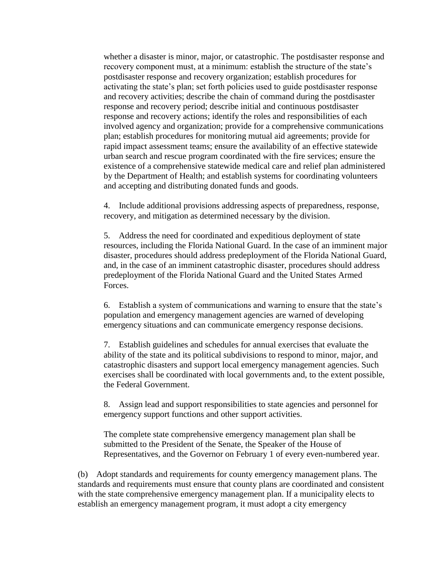whether a disaster is minor, major, or catastrophic. The postdisaster response and recovery component must, at a minimum: establish the structure of the state's postdisaster response and recovery organization; establish procedures for activating the state's plan; set forth policies used to guide postdisaster response and recovery activities; describe the chain of command during the postdisaster response and recovery period; describe initial and continuous postdisaster response and recovery actions; identify the roles and responsibilities of each involved agency and organization; provide for a comprehensive communications plan; establish procedures for monitoring mutual aid agreements; provide for rapid impact assessment teams; ensure the availability of an effective statewide urban search and rescue program coordinated with the fire services; ensure the existence of a comprehensive statewide medical care and relief plan administered by the Department of Health; and establish systems for coordinating volunteers and accepting and distributing donated funds and goods.

4. Include additional provisions addressing aspects of preparedness, response, recovery, and mitigation as determined necessary by the division.

5. Address the need for coordinated and expeditious deployment of state resources, including the Florida National Guard. In the case of an imminent major disaster, procedures should address predeployment of the Florida National Guard, and, in the case of an imminent catastrophic disaster, procedures should address predeployment of the Florida National Guard and the United States Armed Forces.

6. Establish a system of communications and warning to ensure that the state's population and emergency management agencies are warned of developing emergency situations and can communicate emergency response decisions.

7. Establish guidelines and schedules for annual exercises that evaluate the ability of the state and its political subdivisions to respond to minor, major, and catastrophic disasters and support local emergency management agencies. Such exercises shall be coordinated with local governments and, to the extent possible, the Federal Government.

8. Assign lead and support responsibilities to state agencies and personnel for emergency support functions and other support activities.

The complete state comprehensive emergency management plan shall be submitted to the President of the Senate, the Speaker of the House of Representatives, and the Governor on February 1 of every even-numbered year.

(b) Adopt standards and requirements for county emergency management plans. The standards and requirements must ensure that county plans are coordinated and consistent with the state comprehensive emergency management plan. If a municipality elects to establish an emergency management program, it must adopt a city emergency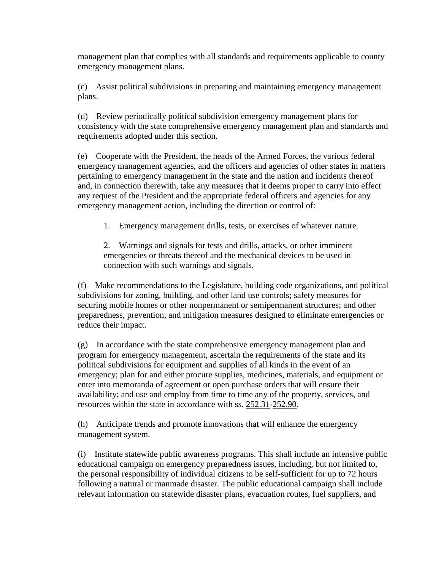management plan that complies with all standards and requirements applicable to county emergency management plans.

(c) Assist political subdivisions in preparing and maintaining emergency management plans.

(d) Review periodically political subdivision emergency management plans for consistency with the state comprehensive emergency management plan and standards and requirements adopted under this section.

(e) Cooperate with the President, the heads of the Armed Forces, the various federal emergency management agencies, and the officers and agencies of other states in matters pertaining to emergency management in the state and the nation and incidents thereof and, in connection therewith, take any measures that it deems proper to carry into effect any request of the President and the appropriate federal officers and agencies for any emergency management action, including the direction or control of:

1. Emergency management drills, tests, or exercises of whatever nature.

2. Warnings and signals for tests and drills, attacks, or other imminent emergencies or threats thereof and the mechanical devices to be used in connection with such warnings and signals.

(f) Make recommendations to the Legislature, building code organizations, and political subdivisions for zoning, building, and other land use controls; safety measures for securing mobile homes or other nonpermanent or semipermanent structures; and other preparedness, prevention, and mitigation measures designed to eliminate emergencies or reduce their impact.

(g) In accordance with the state comprehensive emergency management plan and program for emergency management, ascertain the requirements of the state and its political subdivisions for equipment and supplies of all kinds in the event of an emergency; plan for and either procure supplies, medicines, materials, and equipment or enter into memoranda of agreement or open purchase orders that will ensure their availability; and use and employ from time to time any of the property, services, and resources within the state in accordance with ss. [252.31](http://www.leg.state.fl.us/statutes/index.cfm?App_mode=Display_Statute&Search_String=&URL=0200-0299/0252/Sections/0252.31.html)[-252.90.](http://www.leg.state.fl.us/statutes/index.cfm?App_mode=Display_Statute&Search_String=&URL=0200-0299/0252/Sections/0252.90.html)

(h) Anticipate trends and promote innovations that will enhance the emergency management system.

(i) Institute statewide public awareness programs. This shall include an intensive public educational campaign on emergency preparedness issues, including, but not limited to, the personal responsibility of individual citizens to be self-sufficient for up to 72 hours following a natural or manmade disaster. The public educational campaign shall include relevant information on statewide disaster plans, evacuation routes, fuel suppliers, and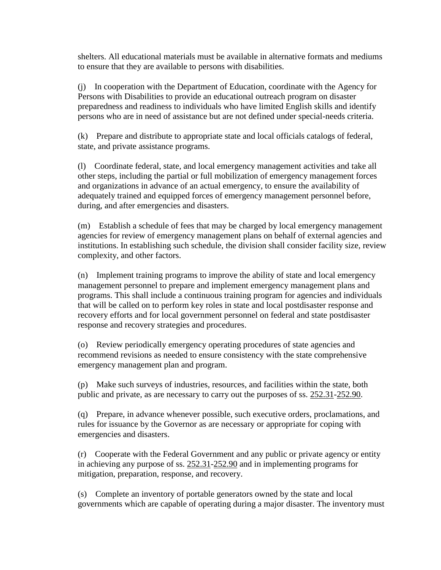shelters. All educational materials must be available in alternative formats and mediums to ensure that they are available to persons with disabilities.

(j) In cooperation with the Department of Education, coordinate with the Agency for Persons with Disabilities to provide an educational outreach program on disaster preparedness and readiness to individuals who have limited English skills and identify persons who are in need of assistance but are not defined under special-needs criteria.

(k) Prepare and distribute to appropriate state and local officials catalogs of federal, state, and private assistance programs.

(l) Coordinate federal, state, and local emergency management activities and take all other steps, including the partial or full mobilization of emergency management forces and organizations in advance of an actual emergency, to ensure the availability of adequately trained and equipped forces of emergency management personnel before, during, and after emergencies and disasters.

(m) Establish a schedule of fees that may be charged by local emergency management agencies for review of emergency management plans on behalf of external agencies and institutions. In establishing such schedule, the division shall consider facility size, review complexity, and other factors.

(n) Implement training programs to improve the ability of state and local emergency management personnel to prepare and implement emergency management plans and programs. This shall include a continuous training program for agencies and individuals that will be called on to perform key roles in state and local postdisaster response and recovery efforts and for local government personnel on federal and state postdisaster response and recovery strategies and procedures.

(o) Review periodically emergency operating procedures of state agencies and recommend revisions as needed to ensure consistency with the state comprehensive emergency management plan and program.

(p) Make such surveys of industries, resources, and facilities within the state, both public and private, as are necessary to carry out the purposes of ss. [252.31-](http://www.leg.state.fl.us/statutes/index.cfm?App_mode=Display_Statute&Search_String=&URL=0200-0299/0252/Sections/0252.31.html)[252.90.](http://www.leg.state.fl.us/statutes/index.cfm?App_mode=Display_Statute&Search_String=&URL=0200-0299/0252/Sections/0252.90.html)

(q) Prepare, in advance whenever possible, such executive orders, proclamations, and rules for issuance by the Governor as are necessary or appropriate for coping with emergencies and disasters.

(r) Cooperate with the Federal Government and any public or private agency or entity in achieving any purpose of ss. [252.31](http://www.leg.state.fl.us/statutes/index.cfm?App_mode=Display_Statute&Search_String=&URL=0200-0299/0252/Sections/0252.31.html)[-252.90](http://www.leg.state.fl.us/statutes/index.cfm?App_mode=Display_Statute&Search_String=&URL=0200-0299/0252/Sections/0252.90.html) and in implementing programs for mitigation, preparation, response, and recovery.

(s) Complete an inventory of portable generators owned by the state and local governments which are capable of operating during a major disaster. The inventory must